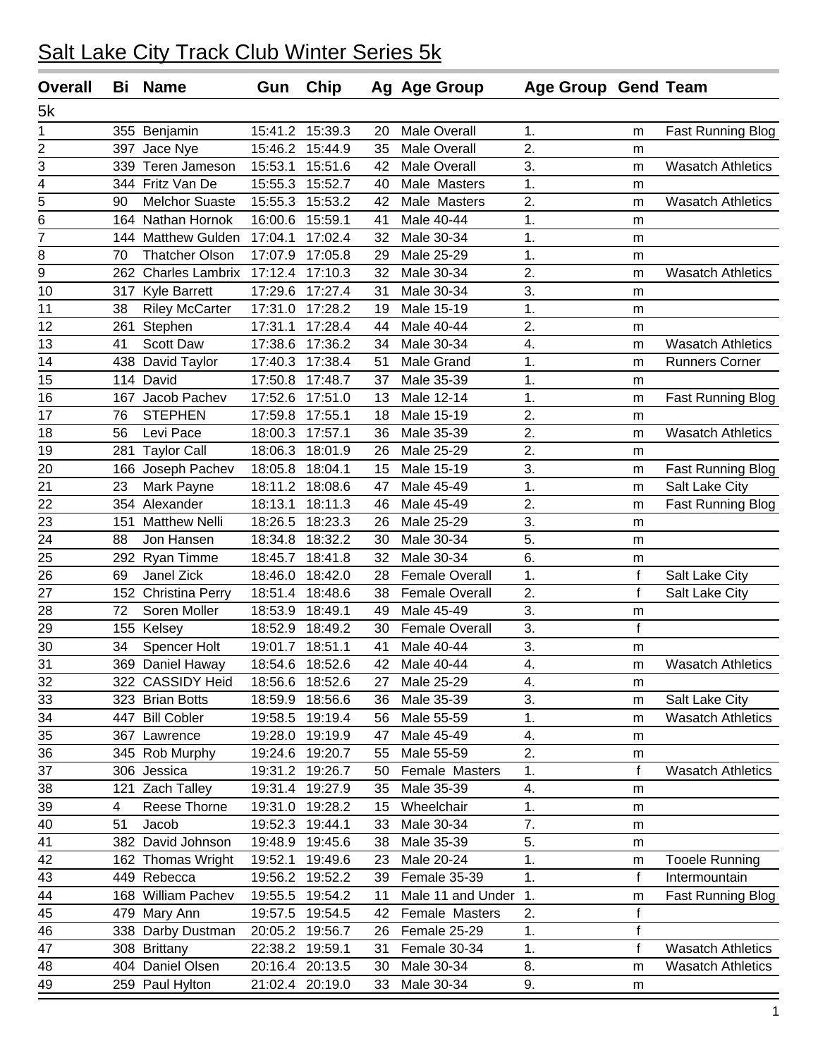| <b>Overall</b>  | Bi  | <b>Name</b>            | Gun     | Chip            |    | Ag Age Group          | Age Group Gend Team |              |                          |
|-----------------|-----|------------------------|---------|-----------------|----|-----------------------|---------------------|--------------|--------------------------|
| 5k              |     |                        |         |                 |    |                       |                     |              |                          |
| $\mathbf{1}$    |     | 355 Benjamin           | 15:41.2 | 15:39.3         | 20 | <b>Male Overall</b>   | 1.                  | m            | <b>Fast Running Blog</b> |
| 2               | 397 | Jace Nye               | 15:46.2 | 15:44.9         | 35 | <b>Male Overall</b>   | 2.                  | m            |                          |
| 3               |     | 339 Teren Jameson      | 15:53.1 | 15:51.6         | 42 | <b>Male Overall</b>   | 3.                  | m            | <b>Wasatch Athletics</b> |
| $\overline{4}$  |     | 344 Fritz Van De       | 15:55.3 | 15:52.7         | 40 | Male Masters          | 1.                  | m            |                          |
| 5               | 90  | <b>Melchor Suaste</b>  | 15:55.3 | 15:53.2         | 42 | Male Masters          | 2.                  | m            | <b>Wasatch Athletics</b> |
| $\overline{6}$  |     | 164 Nathan Hornok      | 16:00.6 | 15:59.1         | 41 | Male 40-44            | 1.                  | m            |                          |
| $\overline{7}$  | 144 | <b>Matthew Gulden</b>  | 17:04.1 | 17:02.4         | 32 | Male 30-34            | 1.                  | m            |                          |
| 8               | 70  | <b>Thatcher Olson</b>  | 17:07.9 | 17:05.8         | 29 | Male 25-29            | 1.                  | m            |                          |
| $\overline{9}$  | 262 | <b>Charles Lambrix</b> | 17:12.4 | 17:10.3         | 32 | Male 30-34            | 2.                  | m            | <b>Wasatch Athletics</b> |
| 10              | 317 | <b>Kyle Barrett</b>    | 17:29.6 | 17:27.4         | 31 | Male 30-34            | 3.                  | m            |                          |
| 11              | 38  | <b>Riley McCarter</b>  | 17:31.0 | 17:28.2         | 19 | Male 15-19            | 1.                  | m            |                          |
| 12              | 261 | Stephen                | 17:31.1 | 17:28.4         | 44 | Male 40-44            | 2.                  | m            |                          |
| 13              | 41  | <b>Scott Daw</b>       | 17:38.6 | 17:36.2         | 34 | Male 30-34            | 4.                  | m            | <b>Wasatch Athletics</b> |
| 14              |     | 438 David Taylor       | 17:40.3 | 17:38.4         | 51 | Male Grand            | 1.                  | m            | <b>Runners Corner</b>    |
| 15              |     | 114 David              | 17:50.8 | 17:48.7         | 37 | Male 35-39            | $\overline{1}$ .    | m            |                          |
| 16              | 167 | Jacob Pachev           | 17:52.6 | 17:51.0         | 13 | Male 12-14            | 1.                  | m            | <b>Fast Running Blog</b> |
| 17              | 76  | <b>STEPHEN</b>         | 17:59.8 | 17:55.1         | 18 | Male 15-19            | 2.                  | m            |                          |
| 18              | 56  | Levi Pace              | 18:00.3 | 17:57.1         | 36 | Male 35-39            | 2.                  | m            | <b>Wasatch Athletics</b> |
| 19              | 281 | <b>Taylor Call</b>     | 18:06.3 | 18:01.9         | 26 | Male 25-29            | $\overline{2}$ .    | m            |                          |
| 20              |     | 166 Joseph Pachev      | 18:05.8 | 18:04.1         | 15 | Male 15-19            | 3.                  | m            | <b>Fast Running Blog</b> |
| 21              | 23  | Mark Payne             |         | 18:11.2 18:08.6 | 47 | Male 45-49            | 1.                  | m            | Salt Lake City           |
| 22              |     | 354 Alexander          | 18:13.1 | 18:11.3         | 46 | Male 45-49            | 2.                  | m            | <b>Fast Running Blog</b> |
| 23              | 151 | <b>Matthew Nelli</b>   | 18:26.5 | 18:23.3         | 26 | Male 25-29            | 3.                  | m            |                          |
| 24              | 88  | Jon Hansen             | 18:34.8 | 18:32.2         | 30 | Male 30-34            | 5.                  | m            |                          |
| 25              | 292 | Ryan Timme             | 18:45.7 | 18:41.8         | 32 | Male 30-34            | 6.                  | m            |                          |
| 26              | 69  | Janel Zick             | 18:46.0 | 18:42.0         | 28 | <b>Female Overall</b> | 1.                  | f            | Salt Lake City           |
| 27              | 152 | <b>Christina Perry</b> | 18:51.4 | 18:48.6         | 38 | <b>Female Overall</b> | 2.                  | $\mathsf f$  | Salt Lake City           |
| 28              | 72  | Soren Moller           | 18:53.9 | 18:49.1         | 49 | Male 45-49            | 3.                  | m            |                          |
| 29              |     | 155 Kelsey             | 18:52.9 | 18:49.2         | 30 | <b>Female Overall</b> | 3.                  | $\mathsf f$  |                          |
| 30              | 34  | Spencer Holt           | 19:01.7 | 18:51.1         | 41 | Male 40-44            | 3.                  | m            |                          |
| $\overline{31}$ |     | 369 Daniel Haway       |         | 18:54.6 18:52.6 | 42 | Male 40-44            | $\overline{4}$ .    | m            | <b>Wasatch Athletics</b> |
| 32              |     | 322 CASSIDY Heid       |         | 18:56.6 18:52.6 | 27 | Male 25-29            | 4.                  | m            |                          |
| 33              |     | 323 Brian Botts        | 18:59.9 | 18:56.6         | 36 | Male 35-39            | 3.                  | m            | Salt Lake City           |
| 34              | 447 | <b>Bill Cobler</b>     | 19:58.5 | 19:19.4         | 56 | Male 55-59            | 1.                  | m            | <b>Wasatch Athletics</b> |
| 35              |     | 367 Lawrence           |         | 19:28.0 19:19.9 | 47 | Male 45-49            | 4.                  | m            |                          |
| 36              |     | 345 Rob Murphy         | 19:24.6 | 19:20.7         | 55 | Male 55-59            | 2.                  | m            |                          |
| 37              |     | 306 Jessica            |         | 19:31.2 19:26.7 | 50 | Female Masters        | 1.                  | $\mathsf{f}$ | <b>Wasatch Athletics</b> |
| 38              |     | 121 Zach Talley        | 19:31.4 | 19:27.9         | 35 | Male 35-39            | 4.                  | m            |                          |
| 39              | 4   | Reese Thorne           | 19:31.0 | 19:28.2         | 15 | Wheelchair            | 1.                  | m            |                          |
| 40              | 51  | Jacob                  | 19:52.3 | 19:44.1         | 33 | Male 30-34            | 7.                  | m            |                          |
| 41              | 382 | David Johnson          | 19:48.9 | 19:45.6         | 38 | Male 35-39            | 5.                  | m            |                          |
| 42              |     | 162 Thomas Wright      | 19:52.1 | 19:49.6         | 23 | Male 20-24            | 1.                  | m            | <b>Tooele Running</b>    |
| 43              |     | 449 Rebecca            | 19:56.2 | 19:52.2         | 39 | Female 35-39          | 1.                  | $\mathbf f$  | Intermountain            |
| 44              |     | 168 William Pachev     | 19:55.5 | 19:54.2         | 11 | Male 11 and Under     | $\mathbf{1}$ .      | m            | Fast Running Blog        |
| 45              |     | 479 Mary Ann           | 19:57.5 | 19:54.5         | 42 | Female Masters        | 2.                  | $\mathsf f$  |                          |
| 46              |     | 338 Darby Dustman      |         | 20:05.2 19:56.7 | 26 | Female 25-29          | 1.                  | $\mathsf f$  |                          |
| 47              |     | 308 Brittany           |         | 22:38.2 19:59.1 | 31 | Female 30-34          | 1.                  | $\mathsf f$  | <b>Wasatch Athletics</b> |
| 48              | 404 | Daniel Olsen           | 20:16.4 | 20:13.5         | 30 | Male 30-34            | 8.                  | m            | <b>Wasatch Athletics</b> |
| 49              |     | 259 Paul Hylton        |         | 21:02.4 20:19.0 | 33 | Male 30-34            | 9.                  | m            |                          |
|                 |     |                        |         |                 |    |                       |                     |              |                          |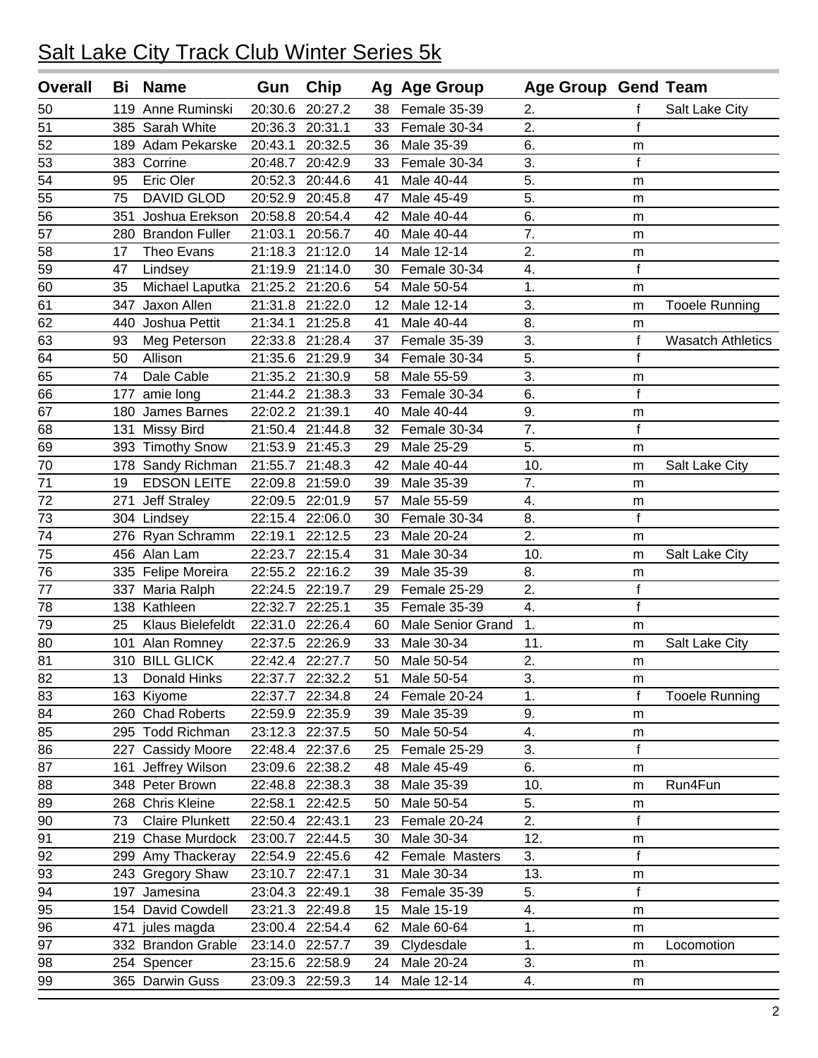| <b>Overall</b>  | Bi  | <b>Name</b>                     | Gun             | Chip            |                   | Ag Age Group             | Age Group Gend Team |              |                          |
|-----------------|-----|---------------------------------|-----------------|-----------------|-------------------|--------------------------|---------------------|--------------|--------------------------|
| 50              |     | 119 Anne Ruminski               | 20:30.6         | 20:27.2         | 38                | Female 35-39             | 2.                  | f            | Salt Lake City           |
| 51              |     | 385 Sarah White                 | 20:36.3         | 20:31.1         | 33                | Female 30-34             | $\overline{2}$ .    | $\mathsf{f}$ |                          |
| 52              |     | 189 Adam Pekarske               | 20:43.1         | 20:32.5         | 36                | Male 35-39               | 6.                  | m            |                          |
| 53              |     | 383 Corrine                     | 20:48.7         | 20:42.9         | 33                | Female 30-34             | 3.                  | $\mathsf{f}$ |                          |
| 54              | 95  | Eric Oler                       | 20:52.3         | 20:44.6         | 41                | Male 40-44               | 5.                  | m            |                          |
| 55              | 75  | <b>DAVID GLOD</b>               |                 | 20:52.9 20:45.8 | 47                | Male 45-49               | 5.                  | m            |                          |
| 56              | 351 | Joshua Erekson                  | 20:58.8         | 20:54.4         | 42                | Male 40-44               | 6.                  | m            |                          |
| 57              |     | 280 Brandon Fuller              | 21:03.1         | 20:56.7         | 40                | Male 40-44               | 7.                  | m            |                          |
| 58              | 17  | Theo Evans                      | 21:18.3         | 21:12.0         | 14                | Male 12-14               | 2.                  | m            |                          |
| 59              | 47  | Lindsey                         |                 | 21:19.9 21:14.0 | 30                | Female 30-34             | 4.                  | $\mathsf f$  |                          |
| 60              | 35  | Michael Laputka 21:25.2 21:20.6 |                 |                 | 54                | Male 50-54               | 1.                  | m            |                          |
| 61              | 347 | Jaxon Allen                     | 21:31.8         | 21:22.0         | $12 \overline{ }$ | Male 12-14               | 3.                  | m            | <b>Tooele Running</b>    |
| 62              | 440 | Joshua Pettit                   | 21:34.1         | 21:25.8         | 41                | Male 40-44               | 8.                  | m            |                          |
| 63              | 93  | Meg Peterson                    | 22:33.8         | 21:28.4         | 37                | Female 35-39             | 3.                  | f            | <b>Wasatch Athletics</b> |
| 64              | 50  | Allison                         | 21:35.6         | 21:29.9         | 34                | Female 30-34             | 5.                  | $\mathsf f$  |                          |
| 65              | 74  | Dale Cable                      |                 | 21:35.2 21:30.9 | 58                | Male 55-59               | 3.                  | m            |                          |
| 66              | 177 | amie long                       |                 | 21:44.2 21:38.3 | 33                | Female 30-34             | 6.                  | f            |                          |
| 67              | 180 | James Barnes                    | 22:02.2 21:39.1 |                 | 40                | Male 40-44               | 9.                  | m            |                          |
| 68              | 131 | <b>Missy Bird</b>               |                 | 21:50.4 21:44.8 | 32                | Female 30-34             | 7.                  | $\mathsf{f}$ |                          |
| 69              |     | 393 Timothy Snow                |                 | 21:53.9 21:45.3 | 29                | Male 25-29               | 5.                  | m            |                          |
| 70              |     | 178 Sandy Richman               | 21:55.7         | 21:48.3         | 42                | Male 40-44               | 10.                 | m            | Salt Lake City           |
| $\overline{71}$ | 19  | <b>EDSON LEITE</b>              |                 | 22:09.8 21:59.0 | 39                | Male 35-39               | $\overline{7}$ .    | m            |                          |
| 72              | 271 | <b>Jeff Straley</b>             | 22:09.5         | 22:01.9         | 57                | Male 55-59               | 4.                  | m            |                          |
| 73              |     | 304 Lindsey                     | 22:15.4 22:06.0 |                 | 30                | Female 30-34             | 8.                  | f            |                          |
| 74              |     | 276 Ryan Schramm                | 22:19.1         | 22:12.5         | 23                | Male 20-24               | 2.                  | m            |                          |
| 75              |     | 456 Alan Lam                    | 22:23.7         | 22:15.4         | 31                | Male 30-34               | 10.                 | m            | Salt Lake City           |
| 76              |     | 335 Felipe Moreira              | 22:55.2         | 22:16.2         | 39                | Male 35-39               | 8.                  | m            |                          |
| 77              | 337 | Maria Ralph                     | 22:24.5         | 22:19.7         | 29                | Female 25-29             | 2.                  | $\mathsf f$  |                          |
| 78              |     | 138 Kathleen                    | 22:32.7         | 22:25.1         | 35                | Female 35-39             | 4.                  | $\mathsf{f}$ |                          |
| 79              | 25  | Klaus Bielefeldt                | 22:31.0         | 22:26.4         | 60                | <b>Male Senior Grand</b> | 1.                  | m            |                          |
| 80              | 101 | Alan Romney                     | 22:37.5         | 22:26.9         | 33                | Male 30-34               | 11.                 | m            | Salt Lake City           |
| 81              |     | 310 BILL GLICK                  |                 | 22:42.4 22:27.7 | 50                | Male 50-54               | 2.                  | m            |                          |
| 82              | 13  | Donald Hinks                    |                 | 22:37.7 22:32.2 | 51                | Male 50-54               | 3.                  | m            |                          |
| 83              |     | 163 Kiyome                      | 22:37.7         | 22:34.8         | 24                | Female 20-24             | 1.                  | $\mathsf{f}$ | <b>Tooele Running</b>    |
| 84              |     | 260 Chad Roberts                | 22:59.9         | 22:35.9         | 39                | Male 35-39               | 9.                  | m            |                          |
| 85              |     | 295 Todd Richman                |                 | 23:12.3 22:37.5 | 50                | Male 50-54               | 4.                  | m            |                          |
| 86              | 227 | <b>Cassidy Moore</b>            |                 | 22:48.4 22:37.6 | 25                | Female 25-29             | 3.                  | $\mathsf{f}$ |                          |
| 87              |     | 161 Jeffrey Wilson              |                 | 23:09.6 22:38.2 | 48                | Male 45-49               | 6.                  | m            |                          |
| 88              |     | 348 Peter Brown                 |                 | 22:48.8 22:38.3 | 38                | Male 35-39               | 10.                 | m            | Run4Fun                  |
| 89              |     | 268 Chris Kleine                | 22:58.1         | 22:42.5         | 50                | Male 50-54               | 5.                  | m            |                          |
| 90              | 73  | <b>Claire Plunkett</b>          | 22:50.4         | 22:43.1         | 23                | Female 20-24             | 2.                  | $\mathbf f$  |                          |
| 91              |     | 219 Chase Murdock               | 23:00.7         | 22:44.5         | 30                | Male 30-34               | 12.                 | m            |                          |
| 92              |     | 299 Amy Thackeray               | 22:54.9         | 22:45.6         | 42                | Female Masters           | 3.                  | $\mathsf f$  |                          |
| 93              |     | 243 Gregory Shaw                | 23:10.7         | 22:47.1         | 31                | Male 30-34               | 13.                 | m            |                          |
| 94              |     | 197 Jamesina                    |                 | 23:04.3 22:49.1 | 38                | Female 35-39             | 5.                  | $\mathsf f$  |                          |
| 95              |     | 154 David Cowdell               |                 | 23:21.3 22:49.8 | 15                | Male 15-19               | 4.                  | m            |                          |
| 96              | 471 | jules magda                     |                 | 23:00.4 22:54.4 | 62                | Male 60-64               | 1.                  | m            |                          |
| 97              |     | 332 Brandon Grable              |                 | 23:14.0 22:57.7 | 39                | Clydesdale               | 1.                  | m            | Locomotion               |
| 98              |     | 254 Spencer                     |                 | 23:15.6 22:58.9 | 24                | Male 20-24               | 3.                  | m            |                          |
| 99              |     | 365 Darwin Guss                 |                 | 23:09.3 22:59.3 | 14                | Male 12-14               | 4.                  | m            |                          |
|                 |     |                                 |                 |                 |                   |                          |                     |              |                          |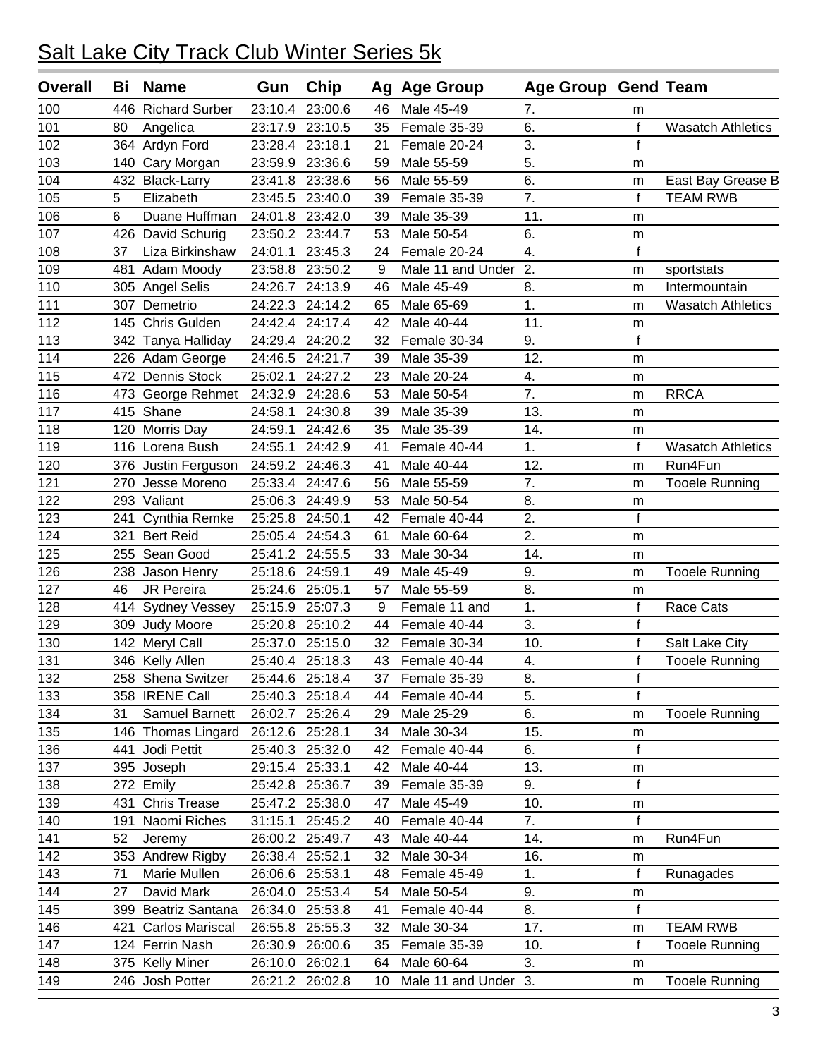| <b>Overall</b> | Bi  | <b>Name</b>           | Gun             | <b>Chip</b>     |    | Ag Age Group         | <b>Age Group Gend Team</b> |             |                          |
|----------------|-----|-----------------------|-----------------|-----------------|----|----------------------|----------------------------|-------------|--------------------------|
| 100            | 446 | <b>Richard Surber</b> | 23:10.4         | 23:00.6         | 46 | Male 45-49           | 7.                         | m           |                          |
| 101            | 80  | Angelica              | 23:17.9         | 23:10.5         | 35 | Female 35-39         | 6.                         | $\mathbf f$ | <b>Wasatch Athletics</b> |
| 102            |     | 364 Ardyn Ford        | 23:28.4         | 23:18.1         | 21 | Female 20-24         | 3.                         | $\mathbf f$ |                          |
| 103            | 140 | Cary Morgan           | 23:59.9         | 23:36.6         | 59 | Male 55-59           | 5.                         | m           |                          |
| 104            |     | 432 Black-Larry       | 23:41.8         | 23:38.6         | 56 | Male 55-59           | 6.                         | m           | East Bay Grease B        |
| 105            | 5   | Elizabeth             | 23:45.5         | 23:40.0         | 39 | Female 35-39         | 7.                         | f           | <b>TEAM RWB</b>          |
| 106            | 6   | Duane Huffman         | 24:01.8         | 23:42.0         | 39 | Male 35-39           | 11.                        | m           |                          |
| 107            |     | 426 David Schurig     |                 | 23:50.2 23:44.7 | 53 | Male 50-54           | 6.                         | m           |                          |
| 108            | 37  | Liza Birkinshaw       | 24:01.1         | 23:45.3         | 24 | Female 20-24         | 4.                         | $\mathbf f$ |                          |
| 109            | 481 | Adam Moody            | 23:58.8         | 23:50.2         | 9  | Male 11 and Under    | 2.                         | m           | sportstats               |
| 110            |     | 305 Angel Selis       | 24:26.7         | 24:13.9         | 46 | Male 45-49           | 8.                         | m           | Intermountain            |
| 111            |     | 307 Demetrio          | 24:22.3         | 24:14.2         | 65 | Male 65-69           | $\overline{1}$ .           | m           | <b>Wasatch Athletics</b> |
| 112            |     | 145 Chris Gulden      | 24:42.4         | 24:17.4         | 42 | Male 40-44           | 11.                        | m           |                          |
| 113            |     | 342 Tanya Halliday    |                 | 24:29.4 24:20.2 | 32 | Female 30-34         | 9.                         | f           |                          |
| 114            |     | 226 Adam George       | 24:46.5         | 24:21.7         | 39 | Male 35-39           | 12.                        | m           |                          |
| 115            |     | 472 Dennis Stock      | 25:02.1         | 24:27.2         | 23 | Male 20-24           | 4.                         | m           |                          |
| 116            |     | 473 George Rehmet     | 24:32.9         | 24:28.6         | 53 | Male 50-54           | $\overline{7}$ .           | m           | <b>RRCA</b>              |
| 117            |     | 415 Shane             | 24:58.1         | 24:30.8         | 39 | Male 35-39           | 13.                        | m           |                          |
| 118            |     | 120 Morris Day        | 24:59.1         | 24:42.6         | 35 | Male 35-39           | 14.                        | m           |                          |
| 119            |     | 116 Lorena Bush       | 24:55.1         | 24:42.9         | 41 | Female 40-44         | 1.                         | $\mathbf f$ | <b>Wasatch Athletics</b> |
| 120            |     | 376 Justin Ferguson   | 24:59.2         | 24:46.3         | 41 | Male 40-44           | 12.                        | m           | Run4Fun                  |
| 121            | 270 | Jesse Moreno          | 25:33.4         | 24:47.6         | 56 | Male 55-59           | 7.                         | m           | <b>Tooele Running</b>    |
| 122            |     | 293 Valiant           | 25:06.3         | 24:49.9         | 53 | Male 50-54           | 8.                         | m           |                          |
| 123            | 241 | Cynthia Remke         | 25:25.8         | 24:50.1         | 42 | Female 40-44         | 2.                         | $\mathbf f$ |                          |
| 124            | 321 | <b>Bert Reid</b>      | 25:05.4         | 24:54.3         | 61 | Male 60-64           | 2.                         | m           |                          |
| 125            |     | 255 Sean Good         | 25:41.2         | 24:55.5         | 33 | Male 30-34           | 14.                        | m           |                          |
| 126            | 238 | Jason Henry           | 25:18.6         | 24:59.1         | 49 | Male 45-49           | 9.                         | m           | <b>Tooele Running</b>    |
| 127            | 46  | JR Pereira            | 25:24.6         | 25:05.1         | 57 | Male 55-59           | 8.                         | m           |                          |
| 128            | 414 | <b>Sydney Vessey</b>  | 25:15.9         | 25:07.3         | 9  | Female 11 and        | $\overline{1}$ .           | $\mathsf f$ | Race Cats                |
| 129            |     | 309 Judy Moore        | 25:20.8         | 25:10.2         | 44 | Female 40-44         | 3.                         | f           |                          |
| 130            |     | 142 Meryl Call        | 25:37.0         | 25:15.0         | 32 | Female 30-34         | 10.                        | $\mathbf f$ | Salt Lake City           |
| 131            |     | 346 Kelly Allen       | 25:40.4         | 25:18.3         | 43 | Female 40-44         | 4.                         | f           | <b>Tooele Running</b>    |
| 132            |     | 258 Shena Switzer     |                 | 25:44.6 25:18.4 | 37 | Female 35-39         | 8.                         | f           |                          |
| 133            |     | 358 IRENE Call        | 25:40.3         | 25:18.4         | 44 | Female 40-44         | 5.                         | f           |                          |
| 134            | 31  | Samuel Barnett        |                 | 26:02.7 25:26.4 | 29 | Male 25-29           | 6.                         | m           | <b>Tooele Running</b>    |
| 135            |     | 146 Thomas Lingard    | 26:12.6 25:28.1 |                 | 34 | Male 30-34           | 15.                        | m           |                          |
| 136            | 441 | Jodi Pettit           |                 | 25:40.3 25:32.0 | 42 | Female 40-44         | 6.                         | $\mathbf f$ |                          |
| 137            |     | 395 Joseph            |                 | 29:15.4 25:33.1 | 42 | Male 40-44           | 13.                        | m           |                          |
| 138            |     | 272 Emily             |                 | 25:42.8 25:36.7 | 39 | Female 35-39         | 9.                         | $\mathbf f$ |                          |
| 139            |     | 431 Chris Trease      |                 | 25:47.2 25:38.0 | 47 | Male 45-49           | 10.                        | m           |                          |
| 140            | 191 | Naomi Riches          | 31:15.1         | 25:45.2         | 40 | Female 40-44         | 7.                         | f           |                          |
| 141            | 52  | Jeremy                | 26:00.2         | 25:49.7         | 43 | Male 40-44           | 14.                        | m           | Run4Fun                  |
| 142            |     | 353 Andrew Rigby      | 26:38.4         | 25:52.1         | 32 | Male 30-34           | 16.                        | m           |                          |
| 143            | 71  | Marie Mullen          | 26:06.6         | 25:53.1         | 48 | Female 45-49         | 1.                         | $\mathsf f$ | Runagades                |
| 144            | 27  | David Mark            | 26:04.0         | 25:53.4         | 54 | Male 50-54           | 9.                         | m           |                          |
| 145            |     | 399 Beatriz Santana   | 26:34.0         | 25:53.8         | 41 | Female 40-44         | 8.                         | $\mathbf f$ |                          |
| 146            | 421 | Carlos Mariscal       | 26:55.8         | 25:55.3         | 32 | Male 30-34           | 17.                        | m           | <b>TEAM RWB</b>          |
| 147            |     | 124 Ferrin Nash       | 26:30.9         | 26:00.6         | 35 | Female 35-39         | 10.                        | f           | <b>Tooele Running</b>    |
| 148            |     | 375 Kelly Miner       | 26:10.0         | 26:02.1         | 64 | Male 60-64           | 3.                         |             |                          |
| 149            |     | 246 Josh Potter       |                 | 26:21.2 26:02.8 | 10 | Male 11 and Under 3. |                            | m           | <b>Tooele Running</b>    |
|                |     |                       |                 |                 |    |                      |                            | m           |                          |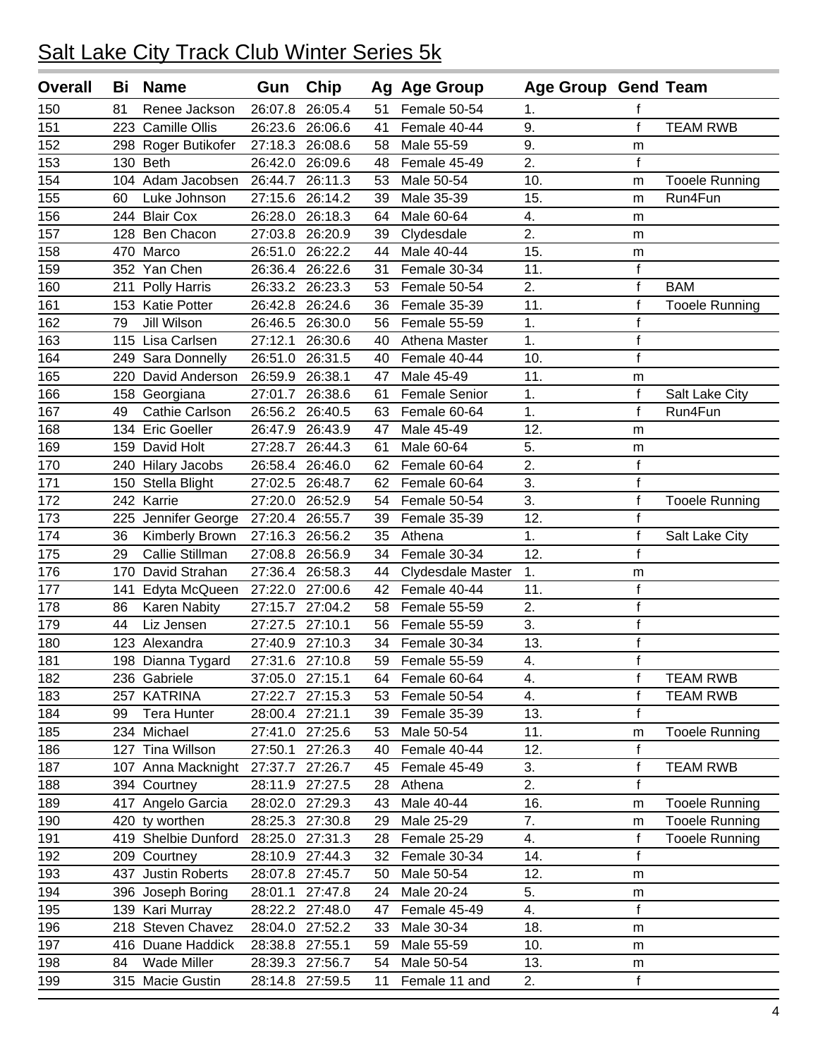| <b>Overall</b> | Bi  | <b>Name</b>         | Gun             | Chip            |    | Ag Age Group         | <b>Age Group Gend Team</b> |              |                       |
|----------------|-----|---------------------|-----------------|-----------------|----|----------------------|----------------------------|--------------|-----------------------|
| 150            | 81  | Renee Jackson       | 26:07.8         | 26:05.4         | 51 | Female 50-54         | 1.                         | f            |                       |
| 151            |     | 223 Camille Ollis   | 26:23.6         | 26:06.6         | 41 | Female 40-44         | 9.                         | $\mathsf{f}$ | <b>TEAM RWB</b>       |
| 152            |     | 298 Roger Butikofer | 27:18.3         | 26:08.6         | 58 | Male 55-59           | 9.                         | m            |                       |
| 153            |     | 130 Beth            | 26:42.0         | 26:09.6         | 48 | Female 45-49         | 2.                         | $\mathbf f$  |                       |
| 154            |     | 104 Adam Jacobsen   | 26:44.7         | 26:11.3         | 53 | Male 50-54           | 10.                        | m            | <b>Tooele Running</b> |
| 155            | 60  | Luke Johnson        | 27:15.6         | 26:14.2         | 39 | Male 35-39           | 15.                        | m            | Run4Fun               |
| 156            |     | 244 Blair Cox       | 26:28.0         | 26:18.3         | 64 | Male 60-64           | 4.                         | m            |                       |
| 157            |     | 128 Ben Chacon      | 27:03.8         | 26:20.9         | 39 | Clydesdale           | 2.                         | m            |                       |
| 158            | 470 | Marco               | 26:51.0         | 26:22.2         | 44 | Male 40-44           | 15.                        | m            |                       |
| 159            | 352 | Yan Chen            | 26:36.4         | 26:22.6         | 31 | Female 30-34         | 11.                        | $\mathbf f$  |                       |
| 160            | 211 | Polly Harris        | 26:33.2         | 26:23.3         | 53 | Female 50-54         | 2.                         | $\mathsf f$  | <b>BAM</b>            |
| 161            |     | 153 Katie Potter    | 26:42.8         | 26:24.6         | 36 | Female 35-39         | 11.                        | $\mathsf f$  | <b>Tooele Running</b> |
| 162            | 79  | Jill Wilson         | 26:46.5         | 26:30.0         | 56 | Female 55-59         | 1.                         | $\mathsf f$  |                       |
| 163            |     | 115 Lisa Carlsen    | 27:12.1         | 26:30.6         | 40 | Athena Master        | 1.                         | $\mathsf f$  |                       |
| 164            |     | 249 Sara Donnelly   | 26:51.0         | 26:31.5         | 40 | Female 40-44         | 10.                        | $\mathsf f$  |                       |
| 165            |     | 220 David Anderson  | 26:59.9         | 26:38.1         | 47 | Male 45-49           | 11.                        | m            |                       |
| 166            |     | 158 Georgiana       | 27:01.7         | 26:38.6         | 61 | <b>Female Senior</b> | 1.                         | $\mathsf f$  | Salt Lake City        |
| 167            | 49  | Cathie Carlson      | 26:56.2         | 26:40.5         | 63 | Female 60-64         | 1.                         | f            | Run4Fun               |
| 168            |     | 134 Eric Goeller    | 26:47.9         | 26:43.9         | 47 | Male 45-49           | 12.                        | m            |                       |
| 169            |     | 159 David Holt      | 27:28.7         | 26:44.3         | 61 | Male 60-64           | 5.                         | m            |                       |
| 170            |     | 240 Hilary Jacobs   | 26:58.4         | 26:46.0         | 62 | Female 60-64         | $\overline{2}$ .           | $\mathsf f$  |                       |
| 171            |     | 150 Stella Blight   | 27:02.5         | 26:48.7         | 62 | Female 60-64         | 3.                         | $\mathsf f$  |                       |
| 172            |     | 242 Karrie          | 27:20.0         | 26:52.9         | 54 | Female 50-54         | 3.                         | $\mathsf f$  | <b>Tooele Running</b> |
| 173            |     | 225 Jennifer George | 27:20.4         | 26:55.7         | 39 | Female 35-39         | 12.                        | $\mathsf f$  |                       |
| 174            | 36  | Kimberly Brown      | 27:16.3         | 26:56.2         | 35 | Athena               | 1.                         | $\mathsf f$  | Salt Lake City        |
| 175            | 29  | Callie Stillman     | 27:08.8         | 26:56.9         | 34 | Female 30-34         | 12.                        | f            |                       |
| 176            | 170 | David Strahan       | 27:36.4         | 26:58.3         | 44 | Clydesdale Master    | 1.                         | m            |                       |
| 177            | 141 | Edyta McQueen       | 27:22.0         | 27:00.6         | 42 | Female 40-44         | 11.                        | $\mathsf f$  |                       |
| 178            | 86  | Karen Nabity        | 27:15.7         | 27:04.2         | 58 | Female 55-59         | 2.                         | $\mathsf f$  |                       |
| 179            | 44  | Liz Jensen          | 27:27.5         | 27:10.1         | 56 | Female 55-59         | 3.                         | $\mathsf f$  |                       |
| 180            |     | 123 Alexandra       | 27:40.9         | 27:10.3         | 34 | Female 30-34         | 13.                        | $\mathsf f$  |                       |
| 181            |     | 198 Dianna Tygard   |                 | 27:31.6 27:10.8 | 59 | Female 55-59         | 4.                         | $\mathsf{f}$ |                       |
| 182            |     | 236 Gabriele        | 37:05.0 27:15.1 |                 | 64 | Female 60-64         | 4.                         | f            | <b>TEAM RWB</b>       |
| 183            | 257 | <b>KATRINA</b>      | 27:22.7         | 27:15.3         | 53 | Female 50-54         | 4.                         | $\mathsf f$  | <b>TEAM RWB</b>       |
| 184            | 99  | <b>Tera Hunter</b>  | 28:00.4 27:21.1 |                 | 39 | Female 35-39         | 13.                        | $\mathsf f$  |                       |
| 185            |     | 234 Michael         |                 | 27:41.0 27:25.6 | 53 | Male 50-54           | 11.                        | m            | <b>Tooele Running</b> |
| 186            |     | 127 Tina Willson    | 27:50.1         | 27:26.3         | 40 | Female 40-44         | 12.                        | f            |                       |
| 187            |     | 107 Anna Macknight  | 27:37.7 27:26.7 |                 | 45 | Female 45-49         | 3.                         | $\mathsf f$  | <b>TEAM RWB</b>       |
| 188            |     | 394 Courtney        | 28:11.9         | 27:27.5         | 28 | Athena               | 2.                         | f            |                       |
| 189            |     | 417 Angelo Garcia   |                 | 28:02.0 27:29.3 | 43 | Male 40-44           | 16.                        | m            | <b>Tooele Running</b> |
| 190            |     | 420 ty worthen      | 28:25.3         | 27:30.8         | 29 | Male 25-29           | 7.                         | m            | <b>Tooele Running</b> |
| 191            |     | 419 Shelbie Dunford | 28:25.0         | 27:31.3         | 28 | Female 25-29         | 4.                         | f            | <b>Tooele Running</b> |
| 192            |     | 209 Courtney        | 28:10.9         | 27:44.3         | 32 | Female 30-34         | 14.                        | f            |                       |
| 193            |     | 437 Justin Roberts  |                 | 28:07.8 27:45.7 | 50 | Male 50-54           | 12.                        | m            |                       |
| 194            |     | 396 Joseph Boring   |                 | 28:01.1 27:47.8 | 24 | Male 20-24           | 5.                         | m            |                       |
| 195            |     | 139 Kari Murray     |                 | 28:22.2 27:48.0 | 47 | Female 45-49         | 4.                         | $\mathbf f$  |                       |
| 196            |     | 218 Steven Chavez   |                 | 28:04.0 27:52.2 | 33 | Male 30-34           | 18.                        | m            |                       |
| 197            |     | 416 Duane Haddick   | 28:38.8 27:55.1 |                 | 59 | Male 55-59           | 10.                        | m            |                       |
| 198            | 84  | <b>Wade Miller</b>  |                 | 28:39.3 27:56.7 | 54 | Male 50-54           | 13.                        | m            |                       |
| 199            |     | 315 Macie Gustin    |                 | 28:14.8 27:59.5 | 11 | Female 11 and        | 2.                         | f            |                       |
|                |     |                     |                 |                 |    |                      |                            |              |                       |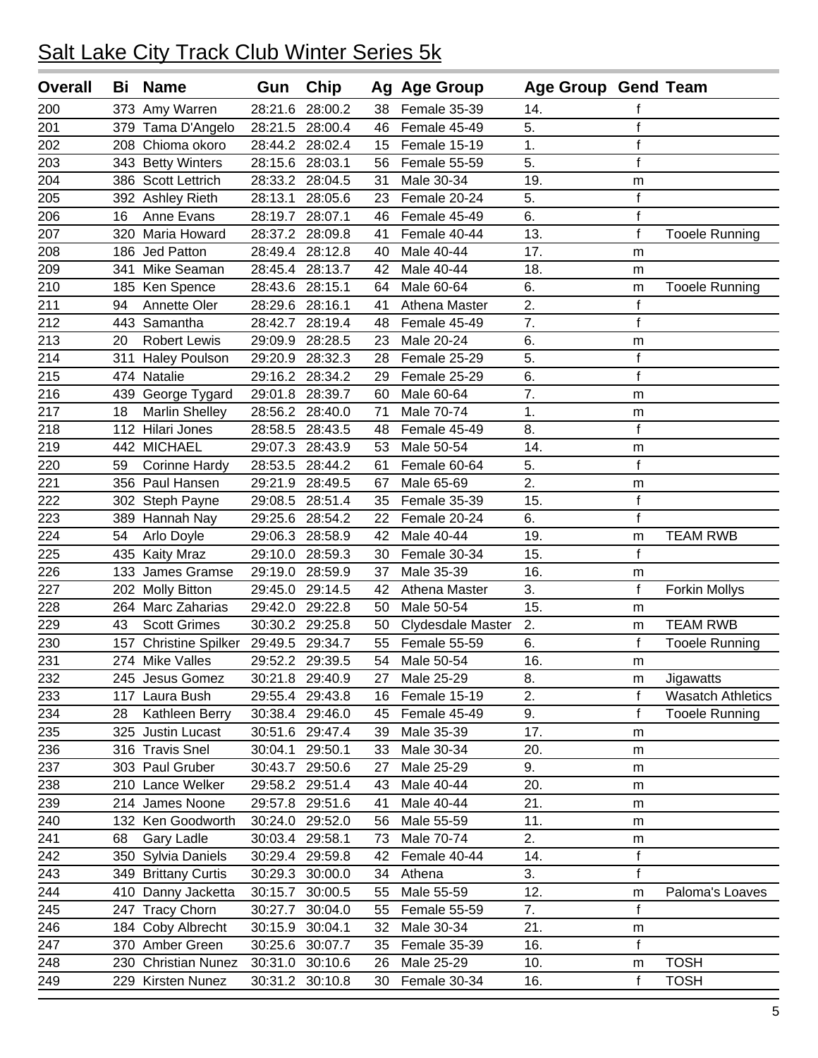| <b>Overall</b> | Bi  | <b>Name</b>               | Gun             | Chip            |    | Ag Age Group      | Age Group Gend Team |              |                          |
|----------------|-----|---------------------------|-----------------|-----------------|----|-------------------|---------------------|--------------|--------------------------|
| 200            |     | 373 Amy Warren            | 28:21.6         | 28:00.2         | 38 | Female 35-39      | 14.                 | f            |                          |
| 201            |     | 379 Tama D'Angelo         | 28:21.5         | 28:00.4         | 46 | Female 45-49      | 5.                  | $\mathsf f$  |                          |
| 202            | 208 | Chioma okoro              |                 | 28:44.2 28:02.4 | 15 | Female 15-19      | 1.                  | $\mathsf f$  |                          |
| 203            | 343 | <b>Betty Winters</b>      | 28:15.6         | 28:03.1         | 56 | Female 55-59      | 5.                  | $\mathsf f$  |                          |
| 204            |     | 386 Scott Lettrich        | 28:33.2         | 28:04.5         | 31 | Male 30-34        | 19.                 | m            |                          |
| 205            |     | 392 Ashley Rieth          | 28:13.1         | 28:05.6         | 23 | Female 20-24      | 5.                  | $\mathsf f$  |                          |
| 206            | 16  | Anne Evans                | 28:19.7         | 28:07.1         | 46 | Female 45-49      | 6.                  | $\mathsf{f}$ |                          |
| 207            | 320 | Maria Howard              | 28:37.2         | 28:09.8         | 41 | Female 40-44      | 13.                 | $\mathsf f$  | <b>Tooele Running</b>    |
| 208            | 186 | Jed Patton                | 28:49.4         | 28:12.8         | 40 | Male 40-44        | 17.                 | m            |                          |
| 209            | 341 | Mike Seaman               | 28:45.4         | 28:13.7         | 42 | Male 40-44        | 18.                 | m            |                          |
| 210            | 185 | Ken Spence                | 28:43.6         | 28:15.1         | 64 | Male 60-64        | 6.                  | m            | <b>Tooele Running</b>    |
| 211            | 94  | Annette Oler              | 28:29.6         | 28:16.1         | 41 | Athena Master     | $\overline{2}$ .    | $\mathsf f$  |                          |
| 212            | 443 | Samantha                  | 28:42.7         | 28:19.4         | 48 | Female 45-49      | $\overline{7}$ .    | $\mathsf f$  |                          |
| 213            | 20  | <b>Robert Lewis</b>       | 29:09.9         | 28:28.5         | 23 | Male 20-24        | 6.                  | m            |                          |
| 214            | 311 | <b>Haley Poulson</b>      | 29:20.9         | 28:32.3         | 28 | Female 25-29      | 5.                  | $\mathsf f$  |                          |
| 215            | 474 | Natalie                   | 29:16.2         | 28:34.2         | 29 | Female 25-29      | 6.                  | $\mathsf f$  |                          |
| 216            | 439 | George Tygard             | 29:01.8         | 28:39.7         | 60 | Male 60-64        | $\overline{7}$ .    | m            |                          |
| 217            | 18  | <b>Marlin Shelley</b>     | 28:56.2         | 28:40.0         | 71 | Male 70-74        | 1.                  | m            |                          |
| 218            | 112 | Hilari Jones              | 28:58.5         | 28:43.5         | 48 | Female 45-49      | 8.                  | $\mathbf f$  |                          |
| 219            | 442 | <b>MICHAEL</b>            | 29:07.3         | 28:43.9         | 53 | Male 50-54        | 14.                 | m            |                          |
| 220            | 59  | <b>Corinne Hardy</b>      | 28:53.5         | 28:44.2         | 61 | Female 60-64      | 5.                  | $\mathsf{f}$ |                          |
| 221            |     | 356 Paul Hansen           | 29:21.9         | 28:49.5         | 67 | Male 65-69        | 2.                  | m            |                          |
| 222            | 302 | Steph Payne               | 29:08.5         | 28:51.4         | 35 | Female 35-39      | 15.                 | $\mathsf f$  |                          |
| 223            |     | 389 Hannah Nay            | 29:25.6         | 28:54.2         | 22 | Female 20-24      | 6.                  | $\mathsf{f}$ |                          |
| 224            | 54  | Arlo Doyle                | 29:06.3         | 28:58.9         | 42 | Male 40-44        | 19.                 | m            | <b>TEAM RWB</b>          |
| 225            | 435 | <b>Kaity Mraz</b>         | 29:10.0         | 28:59.3         | 30 | Female 30-34      | 15.                 | $\mathsf f$  |                          |
| 226            | 133 | James Gramse              | 29:19.0         | 28:59.9         | 37 | Male 35-39        | 16.                 | m            |                          |
| 227            | 202 | <b>Molly Bitton</b>       | 29:45.0         | 29:14.5         | 42 | Athena Master     | 3.                  | $\mathbf f$  | <b>Forkin Mollys</b>     |
| 228            | 264 | Marc Zaharias             | 29:42.0         | 29:22.8         | 50 | Male 50-54        | 15.                 | m            |                          |
| 229            | 43  | <b>Scott Grimes</b>       | 30:30.2         | 29:25.8         | 50 | Clydesdale Master | 2.                  | m            | <b>TEAM RWB</b>          |
| 230            | 157 | Christine Spilker 29:49.5 |                 | 29:34.7         | 55 | Female 55-59      | 6.                  | $\mathsf f$  | <b>Tooele Running</b>    |
| 231            |     | 274 Mike Valles           | 29:52.2 29:39.5 |                 | 54 | Male 50-54        | 16.                 | m            |                          |
| 232            |     | 245 Jesus Gomez           |                 | 30:21.8 29:40.9 | 27 | Male 25-29        | 8.                  | m            | Jigawatts                |
| 233            | 117 | Laura Bush                | 29:55.4         | 29:43.8         | 16 | Female 15-19      | 2.                  | f            | <b>Wasatch Athletics</b> |
| 234            | 28  | Kathleen Berry            | 30:38.4 29:46.0 |                 | 45 | Female 45-49      | 9.                  | $\mathsf{f}$ | <b>Tooele Running</b>    |
| 235            |     | 325 Justin Lucast         |                 | 30:51.6 29:47.4 | 39 | Male 35-39        | 17.                 | m            |                          |
| 236            |     | 316 Travis Snel           | 30:04.1         | 29:50.1         | 33 | Male 30-34        | 20.                 | m            |                          |
| 237            |     | 303 Paul Gruber           |                 | 30:43.7 29:50.6 | 27 | Male 25-29        | 9.                  | m            |                          |
| 238            |     | 210 Lance Welker          |                 | 29:58.2 29:51.4 | 43 | Male 40-44        | 20.                 | m            |                          |
| 239            |     | 214 James Noone           |                 | 29:57.8 29:51.6 | 41 | Male 40-44        | 21.                 | m            |                          |
| 240            |     | 132 Ken Goodworth         | 30:24.0         | 29:52.0         | 56 | Male 55-59        | 11.                 | m            |                          |
| 241            | 68  | <b>Gary Ladle</b>         | 30:03.4         | 29:58.1         | 73 | Male 70-74        | 2.                  | m            |                          |
| 242            |     | 350 Sylvia Daniels        | 30:29.4         | 29:59.8         | 42 | Female 40-44      | 14.                 | $\mathsf f$  |                          |
| 243            |     | 349 Brittany Curtis       | 30:29.3         | 30:00.0         | 34 | Athena            | 3.                  | $\mathsf{f}$ |                          |
| 244            | 410 | Danny Jacketta            | 30:15.7         | 30:00.5         | 55 | Male 55-59        | 12.                 | m            | Paloma's Loaves          |
| 245            | 247 | <b>Tracy Chorn</b>        | 30:27.7         | 30:04.0         | 55 | Female 55-59      | 7.                  | $\mathsf{f}$ |                          |
| 246            |     | 184 Coby Albrecht         | 30:15.9 30:04.1 |                 | 32 | Male 30-34        | 21.                 | m            |                          |
| 247            |     | 370 Amber Green           |                 | 30:25.6 30:07.7 | 35 | Female 35-39      | 16.                 | f            |                          |
| 248            | 230 | <b>Christian Nunez</b>    | 30:31.0 30:10.6 |                 | 26 | Male 25-29        | 10.                 | m            | <b>TOSH</b>              |
| 249            |     | 229 Kirsten Nunez         |                 | 30:31.2 30:10.8 | 30 | Female 30-34      | 16.                 | $\mathbf f$  | <b>TOSH</b>              |
|                |     |                           |                 |                 |    |                   |                     |              |                          |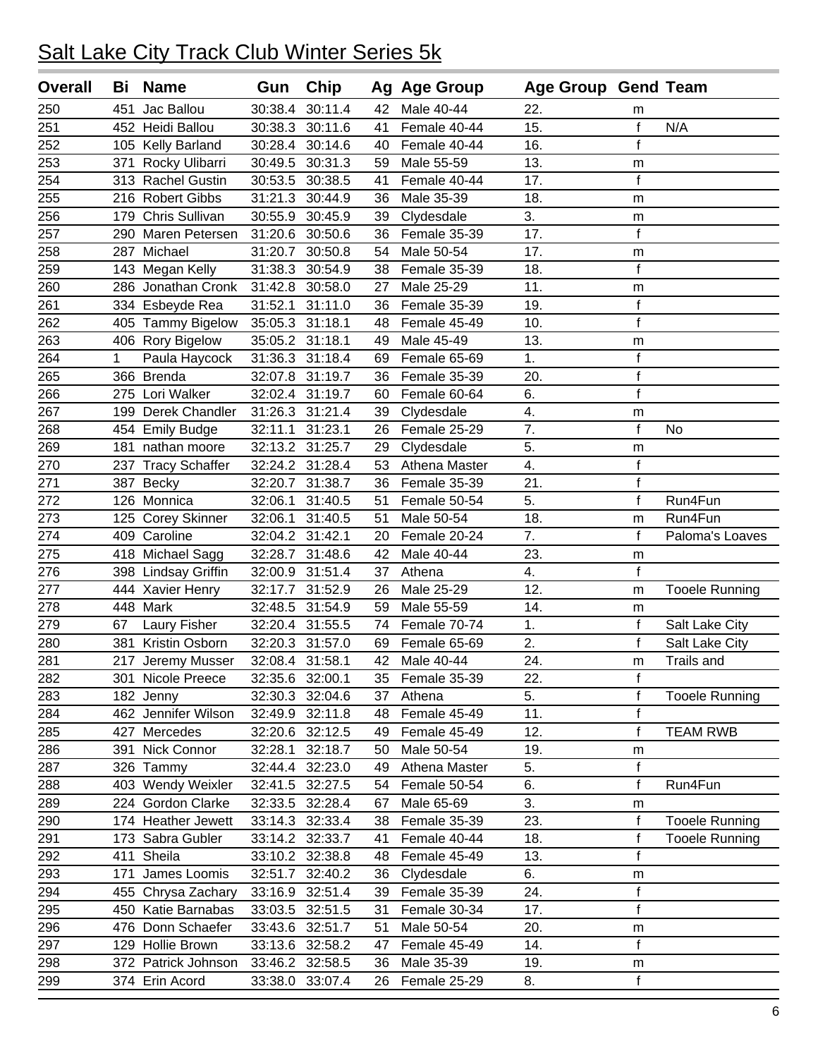| <b>Overall</b>  | Bi           | <b>Name</b>         | Gun             | Chip            |    | Ag Age Group  | <b>Age Group Gend Team</b> |                |                       |
|-----------------|--------------|---------------------|-----------------|-----------------|----|---------------|----------------------------|----------------|-----------------------|
| 250             | 451          | Jac Ballou          | 30:38.4         | 30:11.4         | 42 | Male 40-44    | 22.                        | m              |                       |
| 251             |              | 452 Heidi Ballou    | 30:38.3         | 30:11.6         | 41 | Female 40-44  | 15.                        | $\mathsf f$    | N/A                   |
| 252             |              | 105 Kelly Barland   | 30:28.4         | 30:14.6         | 40 | Female 40-44  | 16.                        | $\mathsf{f}$   |                       |
| 253             | 371          | Rocky Ulibarri      | 30:49.5         | 30:31.3         | 59 | Male 55-59    | 13.                        | m              |                       |
| 254             |              | 313 Rachel Gustin   | 30:53.5         | 30:38.5         | 41 | Female 40-44  | 17.                        | $\mathbf f$    |                       |
| 255             |              | 216 Robert Gibbs    | 31:21.3         | 30:44.9         | 36 | Male 35-39    | 18.                        | m              |                       |
| 256             |              | 179 Chris Sullivan  | 30:55.9         | 30:45.9         | 39 | Clydesdale    | 3.                         | m              |                       |
| 257             | 290          | Maren Petersen      | 31:20.6         | 30:50.6         | 36 | Female 35-39  | 17.                        | $\mathsf f$    |                       |
| 258             | 287          | Michael             | 31:20.7         | 30:50.8         | 54 | Male 50-54    | 17.                        | m              |                       |
| 259             |              | 143 Megan Kelly     | 31:38.3         | 30:54.9         | 38 | Female 35-39  | 18.                        | $\overline{f}$ |                       |
| 260             |              | 286 Jonathan Cronk  | 31:42.8         | 30:58.0         | 27 | Male 25-29    | 11.                        | m              |                       |
| 261             |              | 334 Esbeyde Rea     | 31:52.1         | 31:11.0         | 36 | Female 35-39  | 19.                        | $\mathsf f$    |                       |
| 262             |              | 405 Tammy Bigelow   | 35:05.3         | 31:18.1         | 48 | Female 45-49  | 10.                        | $\mathsf f$    |                       |
| 263             |              | 406 Rory Bigelow    | 35:05.2 31:18.1 |                 | 49 | Male 45-49    | 13.                        | m              |                       |
| 264             | $\mathbf{1}$ | Paula Haycock       | 31:36.3         | 31:18.4         | 69 | Female 65-69  | 1.                         | $\mathsf f$    |                       |
| 265             |              | 366 Brenda          | 32:07.8         | 31:19.7         | 36 | Female 35-39  | 20.                        | $\mathbf{f}$   |                       |
| 266             |              | 275 Lori Walker     | 32:02.4         | 31:19.7         | 60 | Female 60-64  | 6.                         | $\mathsf f$    |                       |
| 267             |              | 199 Derek Chandler  | 31:26.3         | 31:21.4         | 39 | Clydesdale    | 4.                         | m              |                       |
| 268             |              | 454 Emily Budge     | 32:11.1         | 31:23.1         | 26 | Female 25-29  | 7.                         | $\mathsf{f}$   | <b>No</b>             |
| 269             | 181          | nathan moore        | 32:13.2         | 31:25.7         | 29 | Clydesdale    | 5.                         | m              |                       |
| 270             |              | 237 Tracy Schaffer  | 32:24.2 31:28.4 |                 | 53 | Athena Master | 4.                         | $\mathsf f$    |                       |
| 271             | 387          | Becky               | 32:20.7         | 31:38.7         | 36 | Female 35-39  | 21.                        | $\mathsf f$    |                       |
| 272             |              | 126 Monnica         | 32:06.1         | 31:40.5         | 51 | Female 50-54  | 5.                         | $\mathsf{f}$   | Run4Fun               |
| 273             |              | 125 Corey Skinner   | 32:06.1         | 31:40.5         | 51 | Male 50-54    | 18.                        | m              | Run4Fun               |
| 274             |              | 409 Caroline        | 32:04.2 31:42.1 |                 | 20 | Female 20-24  | 7.                         | f              | Paloma's Loaves       |
| $\frac{275}{ }$ |              | 418 Michael Sagg    | 32:28.7         | 31:48.6         | 42 | Male 40-44    | 23.                        | m              |                       |
| 276             |              | 398 Lindsay Griffin | 32:00.9         | 31:51.4         | 37 | Athena        | 4.                         | $\mathsf f$    |                       |
| 277             | 444          | <b>Xavier Henry</b> | 32:17.7         | 31:52.9         | 26 | Male 25-29    | 12.                        | m              | <b>Tooele Running</b> |
| 278             |              | 448 Mark            | 32:48.5         | 31:54.9         | 59 | Male 55-59    | 14.                        | m              |                       |
| 279             | 67           | Laury Fisher        |                 | 32:20.4 31:55.5 | 74 | Female 70-74  | 1.                         | $\mathsf f$    | Salt Lake City        |
| 280             | 381          | Kristin Osborn      | 32:20.3         | 31:57.0         | 69 | Female 65-69  | 2.                         | $\mathsf f$    | Salt Lake City        |
| 281             | 217          | Jeremy Musser       | 32:08.4 31:58.1 |                 | 42 | Male 40-44    | 24.                        | m              | Trails and            |
| 282             |              | 301 Nicole Preece   | 32:35.6 32:00.1 |                 | 35 | Female 35-39  | 22.                        | f              |                       |
| 283             |              | 182 Jenny           | 32:30.3         | 32:04.6         | 37 | Athena        | 5.                         | $\mathsf f$    | <b>Tooele Running</b> |
| 284             |              | 462 Jennifer Wilson |                 | 32:49.9 32:11.8 | 48 | Female 45-49  | 11.                        | $\mathsf f$    |                       |
| 285             |              | 427 Mercedes        | 32:20.6         | 32:12.5         | 49 | Female 45-49  | 12.                        | $\mathsf f$    | <b>TEAM RWB</b>       |
| 286             |              | 391 Nick Connor     | 32:28.1         | 32:18.7         | 50 | Male 50-54    | 19.                        | m              |                       |
| 287             |              | 326 Tammy           | 32:44.4         | 32:23.0         | 49 | Athena Master | 5.                         | $\mathbf f$    |                       |
| 288             |              | 403 Wendy Weixler   | 32:41.5         | 32:27.5         | 54 | Female 50-54  | 6.                         | $\mathsf{f}$   | Run4Fun               |
| 289             |              | 224 Gordon Clarke   | 32:33.5         | 32:28.4         | 67 | Male 65-69    | 3.                         | m              |                       |
| 290             |              | 174 Heather Jewett  | 33:14.3         | 32:33.4         | 38 | Female 35-39  | 23.                        | f              | <b>Tooele Running</b> |
| 291             |              | 173 Sabra Gubler    | 33:14.2         | 32:33.7         | 41 | Female 40-44  | 18.                        | f              | <b>Tooele Running</b> |
| 292             | 411          | Sheila              | 33:10.2         | 32:38.8         | 48 | Female 45-49  | 13.                        | $\mathsf{f}$   |                       |
| 293             | 171          | James Loomis        | 32:51.7         | 32:40.2         | 36 | Clydesdale    | 6.                         | m              |                       |
| 294             |              | 455 Chrysa Zachary  | 33:16.9         | 32:51.4         | 39 | Female 35-39  | 24.                        | $\mathsf f$    |                       |
| 295             |              | 450 Katie Barnabas  |                 | 33:03.5 32:51.5 | 31 | Female 30-34  | 17.                        | f              |                       |
| 296             |              | 476 Donn Schaefer   |                 | 33:43.6 32:51.7 | 51 | Male 50-54    | 20.                        | m              |                       |
| 297             |              | 129 Hollie Brown    |                 | 33:13.6 32:58.2 | 47 | Female 45-49  | 14.                        | $\mathbf f$    |                       |
| 298             |              | 372 Patrick Johnson |                 | 33:46.2 32:58.5 | 36 | Male 35-39    | 19.                        | m              |                       |
| 299             |              | 374 Erin Acord      | 33:38.0         | 33:07.4         | 26 | Female 25-29  | 8.                         | f              |                       |
|                 |              |                     |                 |                 |    |               |                            |                |                       |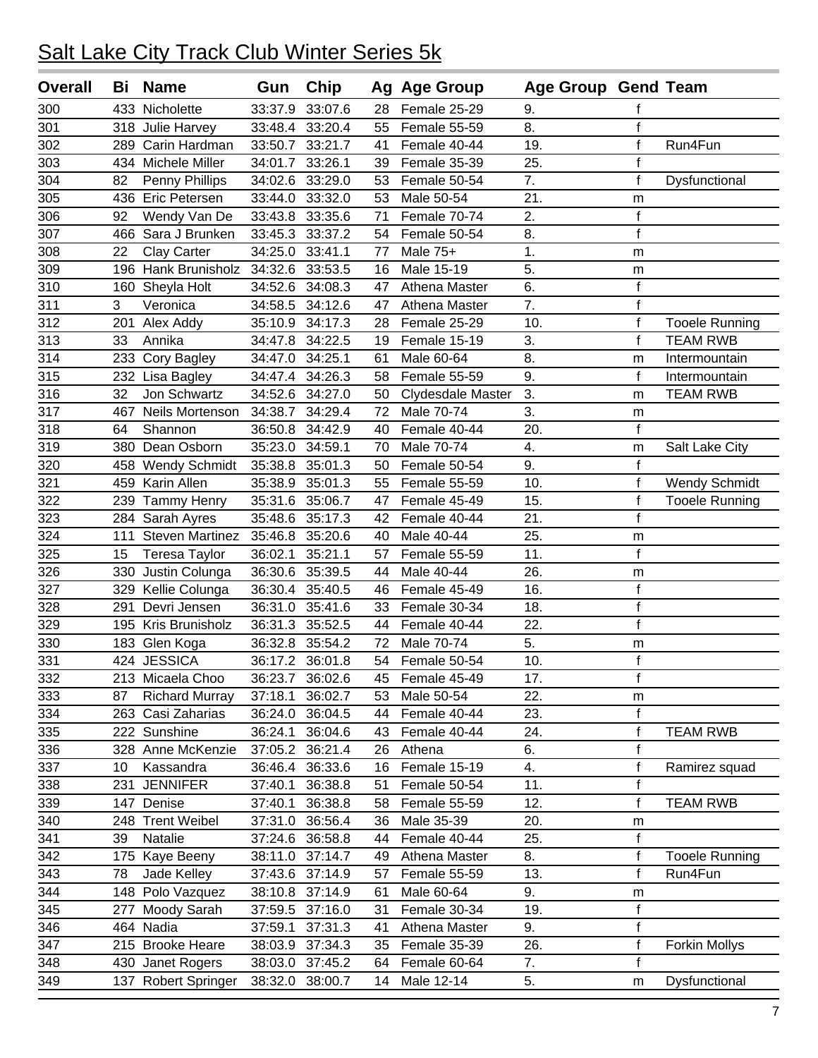| <b>Overall</b> | Bi  | <b>Name</b>            | Gun                  | <b>Chip</b>     |    | Ag Age Group      | <b>Age Group Gend Team</b> |                |                       |
|----------------|-----|------------------------|----------------------|-----------------|----|-------------------|----------------------------|----------------|-----------------------|
| 300            | 433 | Nicholette             | 33:37.9              | 33:07.6         | 28 | Female 25-29      | 9.                         | f              |                       |
| 301            |     | 318 Julie Harvey       | 33:48.4              | 33:20.4         | 55 | Female 55-59      | 8.                         | $\mathsf{f}$   |                       |
| 302            | 289 | Carin Hardman          | 33:50.7              | 33:21.7         | 41 | Female 40-44      | 19.                        | $\mathsf f$    | Run4Fun               |
| 303            | 434 | Michele Miller         | 34:01.7              | 33:26.1         | 39 | Female 35-39      | 25.                        | $\mathsf f$    |                       |
| 304            | 82  | Penny Phillips         | 34:02.6              | 33:29.0         | 53 | Female 50-54      | 7.                         | f              | Dysfunctional         |
| 305            |     | 436 Eric Petersen      | 33:44.0              | 33:32.0         | 53 | Male 50-54        | 21.                        | m              |                       |
| 306            | 92  | Wendy Van De           | 33:43.8              | 33:35.6         | 71 | Female 70-74      | 2.                         | $\mathsf f$    |                       |
| 307            | 466 | Sara J Brunken         | 33:45.3              | 33:37.2         | 54 | Female 50-54      | 8.                         | $\mathsf f$    |                       |
| 308            | 22  | Clay Carter            | 34:25.0              | 33:41.1         | 77 | Male 75+          | 1.                         | m              |                       |
| 309            | 196 | Hank Brunisholz        | 34:32.6              | 33:53.5         | 16 | Male 15-19        | 5.                         | m              |                       |
| 310            | 160 | Sheyla Holt            | 34:52.6              | 34:08.3         | 47 | Athena Master     | 6.                         | $\mathsf f$    |                       |
| 311            | 3   | Veronica               | 34:58.5              | 34:12.6         | 47 | Athena Master     | 7.                         | $\mathsf f$    |                       |
| 312            | 201 | Alex Addy              | 35:10.9              | 34:17.3         | 28 | Female 25-29      | 10.                        | $\mathsf f$    | <b>Tooele Running</b> |
| 313            | 33  | Annika                 | 34:47.8              | 34:22.5         | 19 | Female 15-19      | 3.                         | $\mathbf{f}$   | <b>TEAM RWB</b>       |
| 314            | 233 | Cory Bagley            | 34:47.0              | 34:25.1         | 61 | Male 60-64        | 8.                         | m              | Intermountain         |
| 315            |     | 232 Lisa Bagley        | 34:47.4              | 34:26.3         | 58 | Female 55-59      | 9.                         | $\mathsf f$    | Intermountain         |
| 316            | 32  | Jon Schwartz           | 34:52.6              | 34:27.0         | 50 | Clydesdale Master | 3.                         | m              | <b>TEAM RWB</b>       |
| 317            | 467 | Neils Mortenson        | 34:38.7              | 34:29.4         | 72 | Male 70-74        | 3.                         | m              |                       |
| 318            | 64  | Shannon                | 36:50.8              | 34:42.9         | 40 | Female 40-44      | 20.                        | $\mathsf{f}$   |                       |
| 319            | 380 | Dean Osborn            | 35:23.0              | 34:59.1         | 70 | Male 70-74        | 4.                         | m              | Salt Lake City        |
| 320            | 458 | <b>Wendy Schmidt</b>   | 35:38.8              | 35:01.3         | 50 | Female 50-54      | 9.                         | $\mathsf f$    |                       |
| 321            | 459 | Karin Allen            | 35:38.9              | 35:01.3         | 55 | Female 55-59      | 10.                        | $\mathsf f$    | <b>Wendy Schmidt</b>  |
| 322            | 239 | <b>Tammy Henry</b>     | 35:31.6              | 35:06.7         | 47 | Female 45-49      | 15.                        | $\mathsf{f}$   | <b>Tooele Running</b> |
| 323            |     | 284 Sarah Ayres        | 35:48.6              | 35:17.3         | 42 | Female 40-44      | 21.                        | $\mathsf{f}$   |                       |
| 324            | 111 | <b>Steven Martinez</b> | 35:46.8              | 35:20.6         | 40 | Male 40-44        | 25.                        | m              |                       |
| 325            | 15  | <b>Teresa Taylor</b>   | 36:02.1              | 35:21.1         | 57 | Female 55-59      | 11.                        | $\overline{f}$ |                       |
| 326            | 330 | Justin Colunga         | 36:30.6              | 35:39.5         | 44 | Male 40-44        | 26.                        | m              |                       |
| 327            | 329 | Kellie Colunga         | 36:30.4              | 35:40.5         | 46 | Female 45-49      | 16.                        | $\mathsf f$    |                       |
| 328            | 291 | Devri Jensen           | 36:31.0              | 35:41.6         | 33 | Female 30-34      | 18.                        | $\mathsf f$    |                       |
| 329            |     | 195 Kris Brunisholz    | $36:31.\overline{3}$ | 35:52.5         | 44 | Female 40-44      | 22.                        | $\mathsf{f}$   |                       |
| 330            |     | 183 Glen Koga          | 36:32.8              | 35:54.2         | 72 | Male 70-74        | 5.                         | m              |                       |
| 331            |     | 424 JESSICA            |                      | 36:17.2 36:01.8 | 54 | Female 50-54      | 10.                        | $\mathbf f$    |                       |
| 332            |     | 213 Micaela Choo       | 36:23.7              | 36:02.6         | 45 | Female 45-49      | 17.                        | f              |                       |
| 333            | 87  | <b>Richard Murray</b>  | 37:18.1              | 36:02.7         | 53 | Male 50-54        | 22.                        | m              |                       |
| 334            |     | 263 Casi Zaharias      | 36:24.0              | 36:04.5         | 44 | Female 40-44      | 23.                        | $\mathsf{f}$   |                       |
| 335            |     | 222 Sunshine           | 36:24.1              | 36:04.6         | 43 | Female 40-44      | 24.                        | f              | <b>TEAM RWB</b>       |
| 336            |     | 328 Anne McKenzie      |                      | 37:05.2 36:21.4 | 26 | Athena            | 6.                         | $\mathsf f$    |                       |
| 337            | 10  | Kassandra              | 36:46.4              | 36:33.6         | 16 | Female 15-19      | 4.                         | $\mathsf f$    | Ramirez squad         |
| 338            |     | 231 JENNIFER           | 37:40.1              | 36:38.8         | 51 | Female 50-54      | 11.                        | $\mathsf f$    |                       |
| 339            |     | 147 Denise             | 37:40.1              | 36:38.8         | 58 | Female 55-59      | 12.                        | $\mathsf f$    | <b>TEAM RWB</b>       |
| 340            |     | 248 Trent Weibel       | 37:31.0              | 36:56.4         | 36 | Male 35-39        | 20.                        | m              |                       |
| 341            | 39  | Natalie                | 37:24.6              | 36:58.8         | 44 | Female 40-44      | 25.                        | $\mathsf{f}$   |                       |
| 342            | 175 | Kaye Beeny             | 38:11.0              | 37:14.7         | 49 | Athena Master     | 8.                         | $\mathsf f$    | <b>Tooele Running</b> |
| 343            | 78  | Jade Kelley            | 37:43.6              | 37:14.9         | 57 | Female 55-59      | 13.                        | f              | Run4Fun               |
| 344            |     | 148 Polo Vazquez       | 38:10.8              | 37:14.9         | 61 | Male 60-64        | 9.                         | m              |                       |
| 345            | 277 | Moody Sarah            |                      | 37:59.5 37:16.0 | 31 | Female 30-34      | 19.                        | $\mathsf f$    |                       |
| 346            |     | 464 Nadia              | 37:59.1              | 37:31.3         | 41 | Athena Master     | 9.                         | $\mathsf f$    |                       |
| 347            |     | 215 Brooke Heare       | 38:03.9              | 37:34.3         | 35 | Female 35-39      | 26.                        | $\mathsf f$    | <b>Forkin Mollys</b>  |
| 348            |     | 430 Janet Rogers       | 38:03.0              | 37:45.2         | 64 | Female 60-64      | 7.                         | $\mathsf f$    |                       |
| 349            | 137 | <b>Robert Springer</b> | 38:32.0              | 38:00.7         | 14 | Male 12-14        | 5.                         | m              | Dysfunctional         |
|                |     |                        |                      |                 |    |                   |                            |                |                       |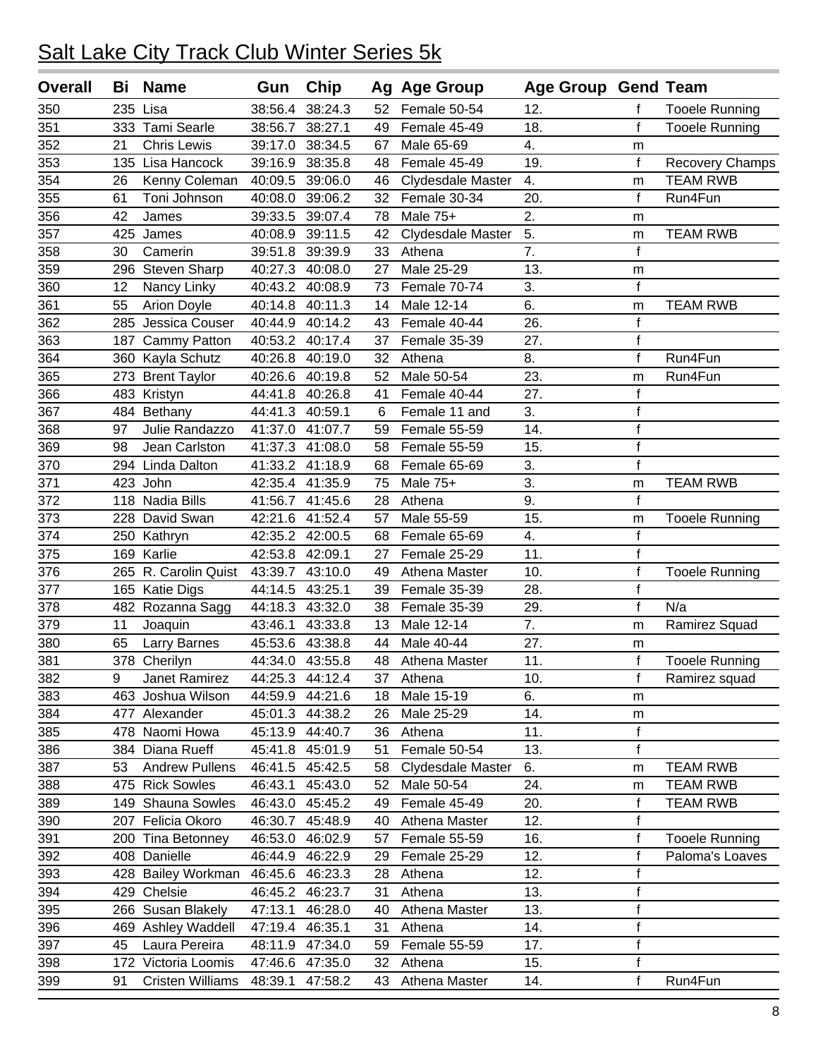| <b>Overall</b>   | Bi  | <b>Name</b>             | Gun     | Chip            |    | Ag Age Group      | <b>Age Group Gend Team</b> |              |                       |
|------------------|-----|-------------------------|---------|-----------------|----|-------------------|----------------------------|--------------|-----------------------|
| 350              | 235 | Lisa                    | 38:56.4 | 38:24.3         | 52 | Female 50-54      | 12.                        | f            | <b>Tooele Running</b> |
| 351              |     | 333 Tami Searle         | 38:56.7 | 38:27.1         | 49 | Female 45-49      | 18.                        | $\mathsf{f}$ | <b>Tooele Running</b> |
| 352              | 21  | <b>Chris Lewis</b>      | 39:17.0 | 38:34.5         | 67 | Male 65-69        | 4.                         | m            |                       |
| 353              |     | 135 Lisa Hancock        | 39:16.9 | 38:35.8         | 48 | Female 45-49      | 19.                        | $\mathsf{f}$ | Recovery Champs       |
| 354              | 26  | Kenny Coleman           | 40:09.5 | 39:06.0         | 46 | Clydesdale Master | 4.                         | m            | <b>TEAM RWB</b>       |
| 355              | 61  | Toni Johnson            | 40:08.0 | 39:06.2         | 32 | Female 30-34      | 20.                        | f            | Run4Fun               |
| 356              | 42  | James                   | 39:33.5 | 39:07.4         | 78 | Male 75+          | $\overline{2}$ .           | m            |                       |
| 357              | 425 | James                   | 40:08.9 | 39:11.5         | 42 | Clydesdale Master | 5.                         | m            | <b>TEAM RWB</b>       |
| 358              | 30  | Camerin                 | 39:51.8 | 39:39.9         | 33 | Athena            | 7.                         | $\mathsf f$  |                       |
| 359              | 296 | <b>Steven Sharp</b>     | 40:27.3 | 40:08.0         | 27 | Male 25-29        | 13.                        | m            |                       |
| 360              | 12  | Nancy Linky             | 40:43.2 | 40:08.9         | 73 | Female 70-74      | 3.                         | $\mathsf{f}$ |                       |
| 361              | 55  | <b>Arion Doyle</b>      | 40:14.8 | 40:11.3         | 14 | Male 12-14        | 6.                         | m            | <b>TEAM RWB</b>       |
| 362              | 285 | Jessica Couser          | 40:44.9 | 40:14.2         | 43 | Female 40-44      | 26.                        | $\mathsf f$  |                       |
| 363              | 187 | Cammy Patton            | 40:53.2 | 40:17.4         | 37 | Female 35-39      | 27.                        | $\mathsf f$  |                       |
| 364              |     | 360 Kayla Schutz        | 40:26.8 | 40:19.0         | 32 | Athena            | 8.                         | f            | Run4Fun               |
| 365              |     | 273 Brent Taylor        | 40:26.6 | 40:19.8         | 52 | Male 50-54        | 23.                        | m            | Run4Fun               |
| 366              |     | 483 Kristyn             | 44:41.8 | 40:26.8         | 41 | Female 40-44      | 27.                        | $\mathsf f$  |                       |
| 367              |     | 484 Bethany             | 44:41.3 | 40:59.1         | 6  | Female 11 and     | 3.                         | $\mathsf f$  |                       |
| 368              | 97  | Julie Randazzo          | 41:37.0 | 41:07.7         | 59 | Female 55-59      | 14.                        | $\mathsf f$  |                       |
| 369              | 98  | Jean Carlston           | 41:37.3 | 41:08.0         | 58 | Female 55-59      | 15.                        | $\mathsf f$  |                       |
| 370              |     | 294 Linda Dalton        | 41:33.2 | 41:18.9         | 68 | Female 65-69      | 3.                         | f            |                       |
| $\overline{371}$ |     | 423 John                | 42:35.4 | 41:35.9         | 75 | Male 75+          | $\overline{3}$ .           | m            | <b>TEAM RWB</b>       |
| 372              |     | 118 Nadia Bills         | 41:56.7 | 41:45.6         | 28 | Athena            | 9.                         | f            |                       |
| 373              |     | 228 David Swan          | 42:21.6 | 41:52.4         | 57 | Male 55-59        | 15.                        | m            | <b>Tooele Running</b> |
| 374              |     | 250 Kathryn             |         | 42:35.2 42:00.5 | 68 | Female 65-69      | 4.                         | $\mathsf f$  |                       |
| 375              |     | 169 Karlie              | 42:53.8 | 42:09.1         | 27 | Female 25-29      | 11.                        | $\mathbf{f}$ |                       |
| 376              |     | 265 R. Carolin Quist    | 43:39.7 | 43:10.0         | 49 | Athena Master     | 10.                        | $\mathsf f$  | <b>Tooele Running</b> |
| 377              |     | 165 Katie Digs          | 44:14.5 | 43:25.1         | 39 | Female 35-39      | 28.                        | $\mathsf f$  |                       |
| 378              |     | 482 Rozanna Sagg        | 44:18.3 | 43:32.0         | 38 | Female 35-39      | 29.                        | $\mathbf{f}$ | N/a                   |
| 379              | 11  | Joaquin                 | 43:46.1 | 43:33.8         | 13 | Male 12-14        | $\overline{7}$ .           | m            | Ramirez Squad         |
| 380              | 65  | <b>Larry Barnes</b>     | 45:53.6 | 43:38.8         | 44 | Male 40-44        | 27.                        | m            |                       |
| 381              |     | 378 Cherilyn            |         | 44:34.0 43:55.8 | 48 | Athena Master     | 11.                        | $\mathbf f$  | <b>Tooele Running</b> |
| 382              | 9   | Janet Ramirez           |         | 44:25.3 44:12.4 | 37 | Athena            | 10.                        | f            | Ramirez squad         |
| 383              |     | 463 Joshua Wilson       | 44:59.9 | 44:21.6         | 18 | Male 15-19        | 6.                         | m            |                       |
| 384              |     | 477 Alexander           | 45:01.3 | 44:38.2         | 26 | Male 25-29        | 14.                        | ${\sf m}$    |                       |
| 385              |     | 478 Naomi Howa          | 45:13.9 | 44:40.7         | 36 | Athena            | 11.                        | $\mathsf f$  |                       |
| 386              |     | 384 Diana Rueff         | 45:41.8 | 45:01.9         | 51 | Female 50-54      | 13.                        | f            |                       |
| 387              | 53  | <b>Andrew Pullens</b>   |         | 46:41.5 45:42.5 | 58 | Clydesdale Master | 6.                         | m            | <b>TEAM RWB</b>       |
| 388              |     | 475 Rick Sowles         | 46:43.1 | 45:43.0         | 52 | Male 50-54        | 24.                        | m            | <b>TEAM RWB</b>       |
| 389              |     | 149 Shauna Sowles       |         | 46:43.0 45:45.2 | 49 | Female 45-49      | 20.                        | f            | <b>TEAM RWB</b>       |
| 390              |     | 207 Felicia Okoro       | 46:30.7 | 45:48.9         | 40 | Athena Master     | 12.                        | $\mathsf f$  |                       |
| 391              |     | 200 Tina Betonney       | 46:53.0 | 46:02.9         | 57 | Female 55-59      | 16.                        | $\mathsf f$  | <b>Tooele Running</b> |
| 392              |     | 408 Danielle            | 46:44.9 | 46:22.9         | 29 | Female 25-29      | 12.                        | $\mathsf f$  | Paloma's Loaves       |
| 393              |     | 428 Bailey Workman      | 46:45.6 | 46:23.3         | 28 | Athena            | 12.                        | $\mathsf f$  |                       |
| 394              |     | 429 Chelsie             | 46:45.2 | 46:23.7         | 31 | Athena            | 13.                        | $\mathsf f$  |                       |
| 395              |     | 266 Susan Blakely       | 47:13.1 | 46:28.0         | 40 | Athena Master     | 13.                        | $\mathsf f$  |                       |
| 396              |     | 469 Ashley Waddell      |         | 47:19.4 46:35.1 | 31 | Athena            | 14.                        | $\mathsf f$  |                       |
| 397              | 45  | Laura Pereira           |         | 48:11.9 47:34.0 | 59 | Female 55-59      | 17.                        | $\mathsf f$  |                       |
| 398              |     | 172 Victoria Loomis     |         | 47:46.6 47:35.0 | 32 | Athena            | 15.                        | $\mathsf f$  |                       |
| 399              | 91  | <b>Cristen Williams</b> | 48:39.1 | 47:58.2         | 43 | Athena Master     | 14.                        | $\mathsf f$  | Run4Fun               |
|                  |     |                         |         |                 |    |                   |                            |              |                       |